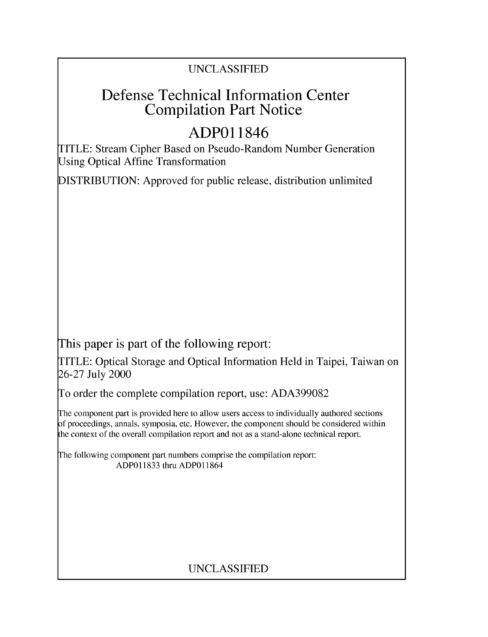### UNCLASSIFIED

## Defense Technical Information Center Compilation Part Notice

# **ADPO** 11846

TITLE: Stream Cipher Based on Pseudo-Random Number Generation Using Optical Affine Transformation

DISTRIBUTION: Approved for public release, distribution unlimited

This paper is part of the following report:

TITLE: Optical Storage and Optical Information Held in Taipei, Taiwan on 26-27 July 2000

To order the complete compilation report, use: ADA399082

The component part is provided here to allow users access to individually authored sections f proceedings, annals, symposia, etc. However, the component should be considered within [he context of the overall compilation report and not as a stand-alone technical report.

The following component part numbers comprise the compilation report: ADP011833 thru ADP011864

## UNCLASSIFIED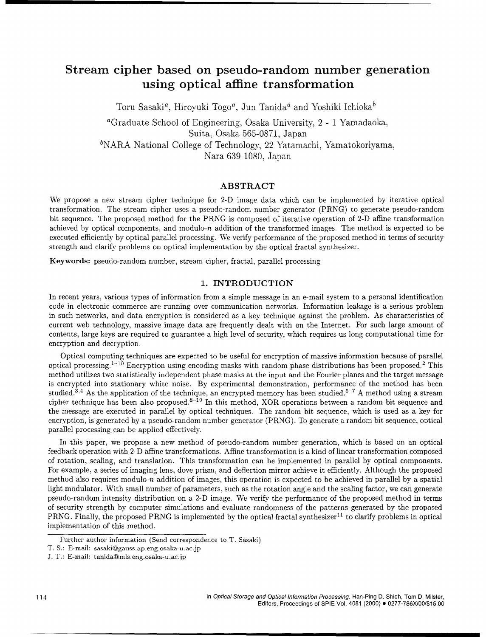### Stream cipher based on pseudo-random number generation using optical affine transformation

Toru Sasaki<sup>a</sup>, Hiroyuki Togo<sup>*a*</sup>, Jun Tanida<sup>*a*</sup> and Yoshiki Ichioka<sup>b</sup>

aGraduate School of Engineering, Osaka University, 2 - 1 Yamadaoka, Suita, Osaka 565-0871, Japan  $b<sup>b</sup>NARA National College of Technology, 22 Yatamachi, Yamatokoriyama,$ Nara 639-1080, Japan

#### ABSTRACT

We propose a new stream cipher technique for 2-D image data which can be implemented by iterative optical transformation. The stream cipher uses a pseudo-random number generator (PRNG) to generate pseudo-random bit sequence. The proposed method for the PRNG is composed of iterative operation of 2-D affine transformation achieved by optical components, and modulo-n addition of the transformed images. The method is expected to be executed efficiently by optical parallel processing. We verify performance of the proposed method in terms of security strength and clarify problems on optical implementation by the optical fractal synthesizer.

Keywords: pseudo-random number, stream cipher, fractal, parallel processing

#### 1. INTRODUCTION

In recent years, various types of information from a simple message in an e-mail system to a personal identification code in electronic commerce are running over communication networks. Information leakage is a serious problem in such networks, and data encryption is considered as a key technique against the problem. As characteristics of current web technology, massive image data are frequently dealt with on the Internet. For such large amount of contents, large keys are required to guarantee a high level of security, which requires us long computational time for encryption and decryption.

Optical computing techniques are expected to be useful for encryption of massive information because of parallel optical processing.<sup>1-10</sup> Encryption using encoding masks with random phase distributions has been proposed.<sup>2</sup> This method utilizes two statistically independent phase masks at the input and the Fourier planes and the target message is encrypted into stationary white noise. By experimental demonstration, performance of the method has been studied.<sup>3,4</sup> As the application of the technique, an encrypted memory has been studied.<sup>5-7</sup> A method using a stream cipher technique has been also proposed.<sup>8-10</sup> In this method, XOR operations between a random bit sequence and the message are executed in parallel by optical techniques. The random bit sequence, which is used as a key for encryption, is generated by a pseudo-random number generator (PRNG). To generate a random bit sequence, optical parallel processing can be applied effectively.

In this paper, we propose a new method of pseudo-random number generation, which is based on an optical feedback operation with 2-D affine transformations. Affine transformation is a kind of linear transformation composed of rotation, scaling, and translation. This transformation can be implemented in parallel by optical components. For example, a series of imaging lens, dove prism, and deflection mirror achieve it efficiently. Although the proposed method also requires modulo-n addition of images, this operation is expected to be achieved in parallel by a spatial light modulator. With small number of parameters, such as the rotation angle and the scaling factor, we can generate pseudo-random intensity distribution on a 2-D image. We verify the performance of the proposed method in terms of security strength by computer simulations and evaluate randomness of the patterns generated by the proposed PRNG. Finally, the proposed PRNG is implemented by the optical fractal synthesizer<sup>11</sup> to clarify problems in optical implementation of this method.

Further author information (Send correspondence to T. Sasaki)

T. S.: E-mail: sasaki@gauss.ap.eng.osaka-u.ac.jp

J. T.: E-mail: tanida@mls.eng.osaka-u.ac.jp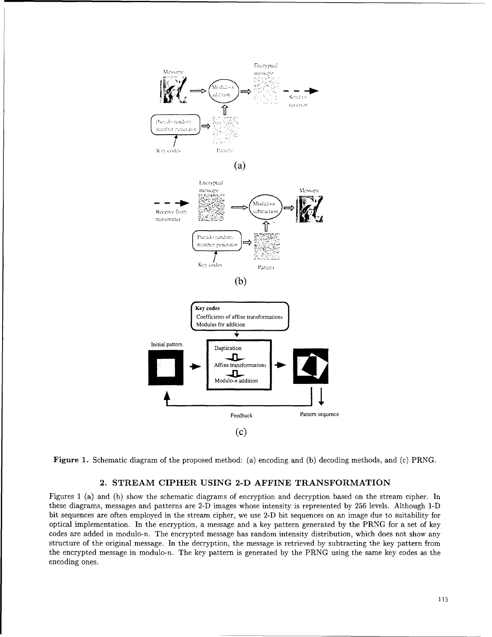

Figure 1. Schematic diagram of the proposed method: (a) encoding and (b) decoding methods, and (c) PRNG.

#### 2. STREAM CIPHER **USING 2-D** AFFINE TRANSFORMATION

Figures **1** (a) and (b) show the schematic diagrams of encryption and decryption based on the stream cipher. In these diagrams, messages and patterns are 2-D images whose intensity is represented by 256 levels. Although 1-D bit sequences are often employed in the stream cipher, we use 2-D bit sequences on an image due to suitability for optical implementation. In the encryption, a message and a key pattern generated by the PRNG for a set of key codes are added in modulo-n. The encrypted message has random intensity distribution, which does not show any structure of the original message. In the decryption, the message is retrieved by subtracting the key pattern from the encrypted message in modulo-n. The key pattern is generated by the PRNG using the same key codes as the encoding ones.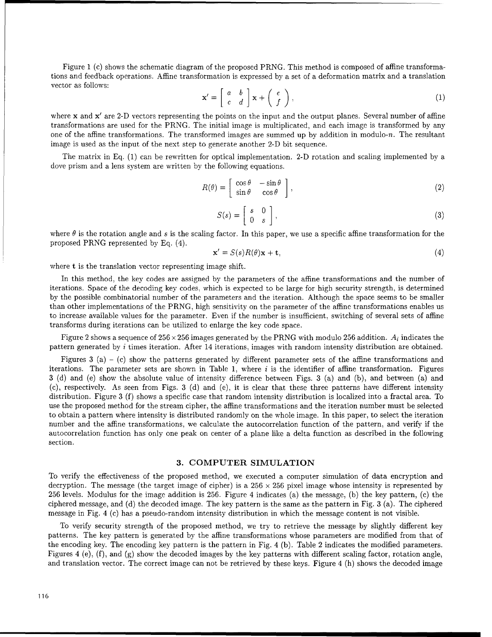Figure 1 (c) shows the schematic diagram of the proposed PRNG. This method is composed of affine transformations and feedback operations. Affine transformation is expressed by a set of a deformation matrix and a translation vector as follows:

$$
\mathbf{x}' = \begin{bmatrix} a & b \\ c & d \end{bmatrix} \mathbf{x} + \begin{bmatrix} e \\ f \end{bmatrix},\tag{1}
$$

where x and x' are 2-D vectors representing the points on the input and the output planes. Several number of affine transformations are used for the PRNG. The initial image is multiplicated, and each image is transformed by any one of the affine transformations. The transformed images are summed up by addition in modulo-n. The resultant image is used as the input of the next step to generate another 2-D bit sequence.

The matrix in Eq. (1) can be rewritten for optical implementation. 2-D rotation and scaling implemented by a dove prism and a lens system are written by the following equations.

$$
R(\theta) = \begin{bmatrix} \cos \theta & -\sin \theta \\ \sin \theta & \cos \theta \end{bmatrix},
$$
 (2)

$$
S(s) = \begin{bmatrix} s & 0 \\ 0 & s \end{bmatrix},
$$
 (3)

where  $\theta$  is the rotation angle and s is the scaling factor. In this paper, we use a specific affine transformation for the proposed PRNG represented by Eq. (4).

$$
\mathbf{x}' = S(s)R(\theta)\mathbf{x} + \mathbf{t},\tag{4}
$$

where t is the translation vector representing image shift.

In this method, the key codes are assigned by the parameters of the affine transformations and the number of iterations. Space of the decoding key codes, which is expected to be large for high security strength, is determined by the possible combinatorial number of the parameters and the iteration. Although the space seems to be smaller than other implementations of the PRNG, high sensitivity on the parameter of the affine transformations enables us to increase available values for the parameter. Even if the number is insufficient, switching of several sets of affine transforms during iterations can be utilized to enlarge the key code space.

Figure 2 shows a sequence of  $256 \times 256$  images generated by the PRNG with modulo 256 addition.  $A_i$  indicates the pattern generated by i times iteration. After 14 iterations, images with random intensity distribution are obtained.

Figures 3 (a) – (c) show the patterns generated by different parameter sets of the affine transformations and iterations. The parameter sets are shown in Table 1, where  $i$  is the identifier of affine transformation. Figures 3 (d) and (e) show the absolute value of intensity difference between Figs. 3 (a) and (b), and between (a) and (c), respectively. As seen from Figs. 3 (d) and (e), it is clear that these three patterns have different intensity distribution. Figure 3 (f) shows a specific case that random intensity distribution is localized into a fractal area. To use the proposed method for the stream cipher, the affine transformations and the iteration number must be selected to obtain a pattern where intensity is distributed randomly on the whole image. In this paper, to select the iteration number and the affine transformations, we calculate the autocorrelation function of the pattern, and verify if the autocorrelation function has only one peak on center of a plane like a delta function as described in the following section.

#### **3.** COMPUTER **SIMULATION**

To verify the effectiveness of the proposed method, we executed a computer simulation of data encryption and decryption. The message (the target image of cipher) is a  $256 \times 256$  pixel image whose intensity is represented by 256 levels. Modulus for the image addition is 256. Figure 4 indicates (a) the message, (b) the key pattern, (c) the ciphered message, and (d) the decoded image. The key pattern is the same as the pattern in Fig. 3 (a). The ciphered message in Fig. 4 (c) has a pseudo-random intensity distribution in which the message content is not visible.

To verify security strength of the proposed method, we try to retrieve the message by slightly different key patterns. The key pattern is generated by the affine transformations whose parameters are modified from that of the encoding key. The encoding key pattern is the pattern in Fig. 4 (b). Table 2 indicates the modified parameters. Figures 4 (e), (f), and (g) show the decoded images by the key patterns with different scaling factor, rotation angle, and translation vector. The correct image can not be retrieved by these keys. Figure 4 (h) shows the decoded image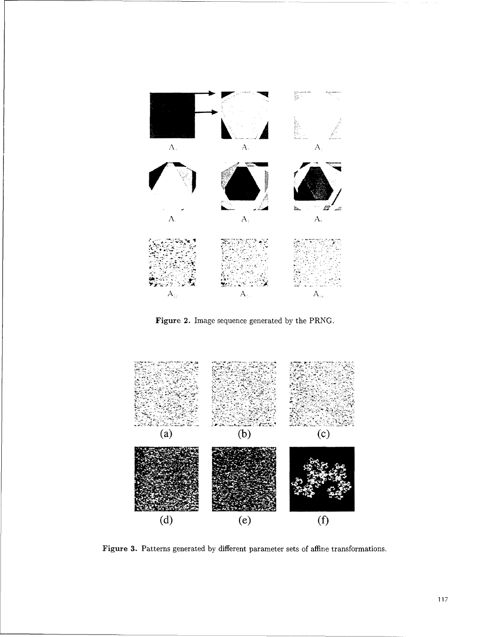

Figure 2. Image sequence generated by the PRNG.



Figure 3. Patterns generated by different parameter sets of affine transformations.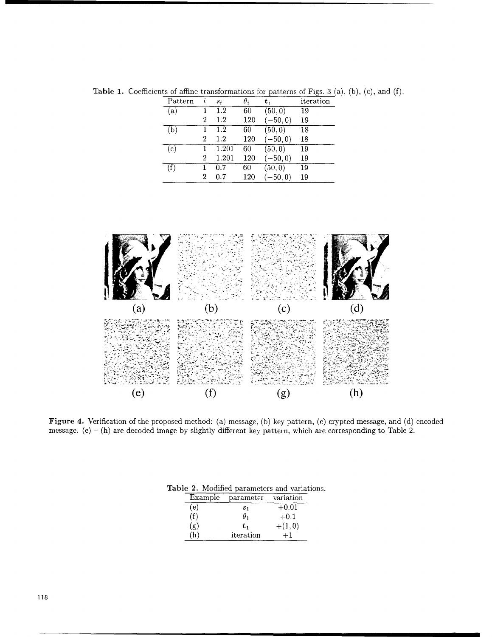| Pattern |                | $S_i$   | $\theta_i$ | t,         | iteration |
|---------|----------------|---------|------------|------------|-----------|
| (a)     |                | 1.2     | 60         | (50, 0)    | 19        |
|         | 2              | 1.2     | 120        | $-50, 0)$  | 19        |
| (b)     |                | 1.2     | 60         | (50, 0)    | 18        |
|         | 2              | $1.2\,$ | 120        | $-50, 0)$  | 18        |
| (c)     |                | 1.201   | 60         | (50, 0)    | 19        |
|         | $\overline{2}$ | 1.201   | 120        | $(-50, 0)$ | 19        |
| (f)     |                | 0.7     | 60         | (50, 0)    | 19        |
|         | 2              | 0.7     | 120        | $-50, 0)$  | 19        |

Table 1. Coefficients of affine transformations for patterns of Figs. 3 (a), (b), (c), and (f).



Figure 4. Verification of the proposed method: (a) message, (b) key pattern, (c) crypted message, and (d) encoded message. (e) - (h) are decoded image by slightly different key pattern, which are corresponding to Table 2.

| parameter      | variation |
|----------------|-----------|
| s <sub>1</sub> | $+0.01$   |
| $\theta_1$     | $+0.1$    |
| tı             | $+(1,0)$  |
| iteration      |           |
|                |           |

Table 2. Modified parameters and variations.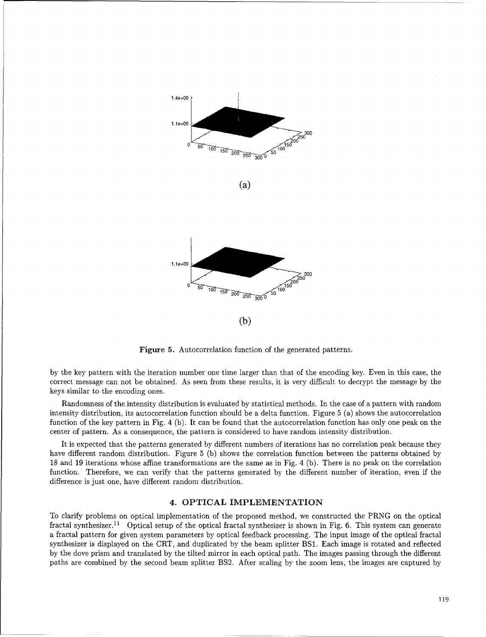

Figure **5.** Autocorrelation function of the generated patterns.

by the key pattern with the iteration number one time larger than that of the encoding key. Even in this case, the correct message can not be obtained. As seen from these results, it is very difficult to decrypt the message by the keys similar to the encoding ones.

Randomness of the intensity distribution is evaluated by statistical methods. In the case of a pattern with random intensity distribution, its autocorrelation function should be a delta function. Figure 5 (a) shows the autocorrelation function of the key pattern in Fig. 4 (b). It can be found that the autocorrelation function has only one peak on the center of pattern. As a consequence, the pattern is considered to have random intensity distribution.

It is expected that the patterns generated by different numbers of iterations has no correlation peak because they have different random distribution. Figure 5 (b) shows the correlation function between the patterns obtained by 18 and 19 iterations whose affine transformations are the same as in Fig. 4 (b). There is no peak on the correlation function. Therefore, we can verify that the patterns generated by the different number of iteration, even if the difference is just one, have different random distribution.

#### 4. OPTICAL IMPLEMENTATION

To clarify problems on optical implementation of the proposed method, we constructed the PRNG on the optical fractal synthesizer.<sup>11</sup> Optical setup of the optical fractal synthesizer is shown in Fig. 6. This system can generate a fractal pattern for given system parameters by optical feedback processing. The input image of the optical fractal synthesizer is displayed on the CRT, and duplicated by the beam splitter BS1. Each image is rotated and reflected by the dove prism and translated by the tilted mirror in each optical path. The images passing through the different paths are combined by the second beam splitter BS2. After scaling by the zoom lens, the images are captured by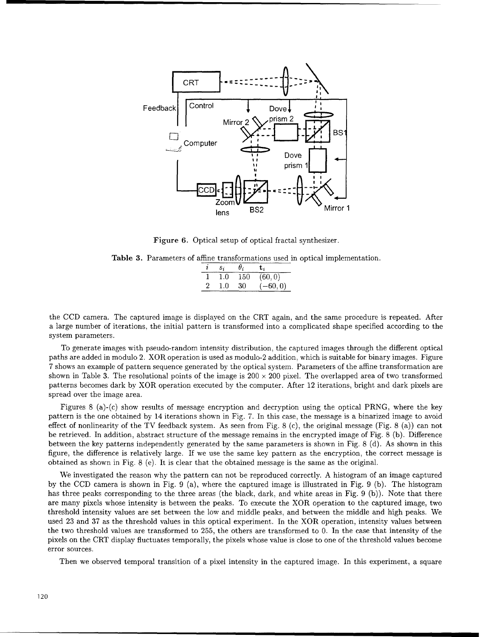

Figure 6. Optical setup of optical fractal synthesizer.

Table **3.** Parameters of affine transformations used in optical implementation.

|   | S.  | $\sigma_i$ | L.         |
|---|-----|------------|------------|
|   | 1.0 | 150        | (60, 0)    |
| 2 | 1.0 | -30        | $(-60, 0)$ |

the CCD camera. The captured image is displayed on the CRT again, and the same procedure is repeated. After a large number of iterations, the initial pattern is transformed into a complicated shape specified according to the system parameters.

To generate images with pseudo-random intensity distribution, the captured images through the different optical paths are added in modulo 2. XOR operation is used as modulo-2 addition, which is suitable for binary images. Figure 7 shows an example of pattern sequence generated by the optical system. Parameters of the affine transformation are shown in Table 3. The resolutional points of the image is  $200 \times 200$  pixel. The overlapped area of two transformed patterns becomes dark by XOR operation executed by the computer. After 12 iterations, bright and dark pixels are spread over the image area.

Figures 8 (a)-(c) show results of message encryption and decryption using the optical PRNG, where the key pattern is the one obtained by 14 iterations shown in Fig. 7. In this case, the message is a binarized image to avoid effect of nonlinearity of the TV feedback system. As seen from Fig. 8 (c), the original message (Fig. 8 (a)) can not be retrieved. In addition, abstract structure of the message remains in the encrypted image of Fig. 8 (b). Difference between the key patterns independently generated by the same parameters is shown in Fig. 8 (d). As shown in this figure, the difference is relatively large. If we use the same key pattern as the encryption, the correct message is obtained as shown in Fig. 8 (e). It is clear that the obtained message is the same as the original.

We investigated the reason why the pattern can not be reproduced correctly. A histogram of an image captured by the CCD camera is shown in Fig. 9 (a), where the captured image is illustrated in Fig. 9 (b). The histogram has three peaks corresponding to the three areas (the black, dark, and white areas in Fig. 9 (b)). Note that there are many pixels whose intensity is between the peaks. To execute the XOR operation to the captured image, two threshold intensity values are set between the low and middle peaks, and between the middle and high peaks. We used 23 and 37 as the threshold values in this optical experiment. In the XOR operation, intensity values between the two threshold values are transformed to 255, the others are transformed to 0. In the case that intensity of the pixels on the CRT display fluctuates temporally, the pixels whose value is close to one of the threshold values become error sources.

Then we observed temporal transition of a pixel intensity in the captured image. In this experiment, a square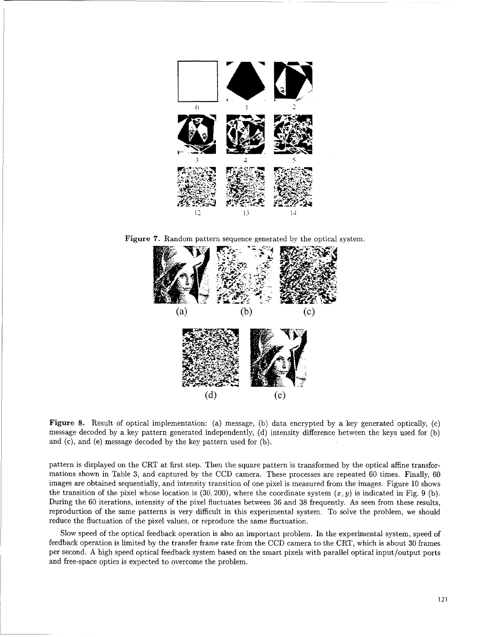

Figure **7.** Random pattern sequence generated **by** the optical system.



Figure **8.** Result of optical implementation: (a) message, **(b)** dateded optically, (c) Figure 8. Result of optical implementation: (a) message, (b) data encrypted by a key generated optically, (c) message decoded by a key pattern generated independently, (d) intensity difference between the keys used for (b) and (c), and (e) message decoded **by** the key pattern used for **(b).**

pattern is displayed on the CRT at first step. Then the square pattern is transformed **by** the optical affine transformations shown in Table **3,** and captured **by** the **CCD** camera. These processes are repeated **60** times. Finally, **<sup>60</sup>** imations shown in Table 3, and captured by the CCD camera. These processes are repeated by times. Finally, by<br>images are obtained sequentially, and intensity transition of one pixel is measured from the images. Figure 10 s the transition of the pixel whose location is (30, 200), where the coordinate system (x, *y*) is indicated in Fig. 0 (b).<br>the transition of the pixel whose location is (30, 200), where the coordinate system (x, *y*) is ind the transition of the pixel whose location is (30, 200), where the coordinate system  $(x, y)$  is indicated in Fig. 9 (b).<br>During the 60 iterations, intensity of the pixel fluctuates between 36 and 38 frequently. As seen fro reduce the fluctuation of the pixel values, or reproduce the same fluctuation.

Slow speed of the optical feedback operation is also an important problem. In the experimental system, speed of feedback operation is limited **by** the transfer frame rate from the **CCD** camera to the CRT, which is about **30** frames feedback operation is limited by the transfer frame rate from the CCD camera to the CRT, which is about 30 frames<br>per second. A high speed optical feedback system based on the smart pixels with parallel optical input/outpu and free-space optics is expected to overcome the problem.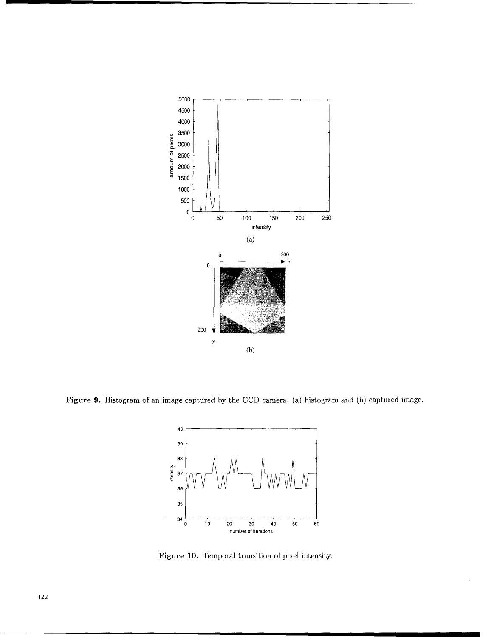

Figure **9.** Histogram of an image captured by the CCD camera. (a) histogram and (b) captured image.



Figure **10.** Temporal transition of pixel intensity.